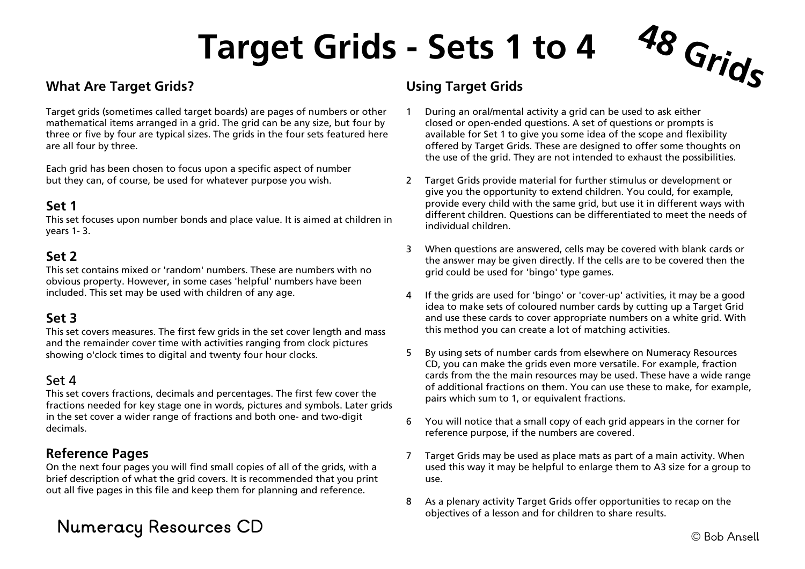# **Target Grids - Sets 1 to 4 48 Grids**

## **What Are Target Grids?**

Target grids (sometimes called target boards) are pages of numbers or other mathematical items arranged in a grid. The grid can be any size, but four by three or five by four are typical sizes. The grids in the four sets featured here are all four by three.

Each grid has been chosen to focus upon a specific aspect of number but they can, of course, be used for whatever purpose you wish.

## **Set 1**

This set focuses upon number bonds and place value. It is aimed at children in years 1- 3.

### **Set 2**

This set contains mixed or 'random' numbers. These are numbers with no obvious property. However, in some cases 'helpful' numbers have been included. This set may be used with children of any age.

### **Set 3**

This set covers measures. The first few grids in the set cover length and mass and the remainder cover time with activities ranging from clock pictures showing o'clock times to digital and twenty four hour clocks.

#### Set 4

This set covers fractions, decimals and percentages. The first few cover the fractions needed for key stage one in words, pictures and symbols. Later grids in the set cover a wider range of fractions and both one- and two-digit decimals.

## **Reference Pages**

On the next four pages you will find small copies of all of the grids, with a brief description of what the grid covers. It is recommended that you print out all five pages in this file and keep them for planning and reference.

## © Bob Ansell **Numeracy Resources CD**

## **Using Target Grids**

- 1 During an oral/mental activity a grid can be used to ask either closed or open-ended questions. A set of questions or prompts is available for Set 1 to give you some idea of the scope and flexibility offered by Target Grids. These are designed to offer some thoughts on the use of the grid. They are not intended to exhaust the possibilities.
- 2 Target Grids provide material for further stimulus or development or give you the opportunity to extend children. You could, for example, provide every child with the same grid, but use it in different ways with different children. Questions can be differentiated to meet the needs of individual children.
- 3 When questions are answered, cells may be covered with blank cards or the answer may be given directly. If the cells are to be covered then the grid could be used for 'bingo' type games.
- 4 If the grids are used for 'bingo' or 'cover-up' activities, it may be a good idea to make sets of coloured number cards by cutting up a Target Grid and use these cards to cover appropriate numbers on a white grid. With this method you can create a lot of matching activities.
- 5 By using sets of number cards from elsewhere on Numeracy Resources CD, you can make the grids even more versatile. For example, fraction cards from the the main resources may be used. These have a wide range of additional fractions on them. You can use these to make, for example, pairs which sum to 1, or equivalent fractions.
- 6 You will notice that a small copy of each grid appears in the corner for reference purpose, if the numbers are covered.
- 7 Target Grids may be used as place mats as part of a main activity. When used this way it may be helpful to enlarge them to A3 size for a group to use.
- 8 As a plenary activity Target Grids offer opportunities to recap on the objectives of a lesson and for children to share results.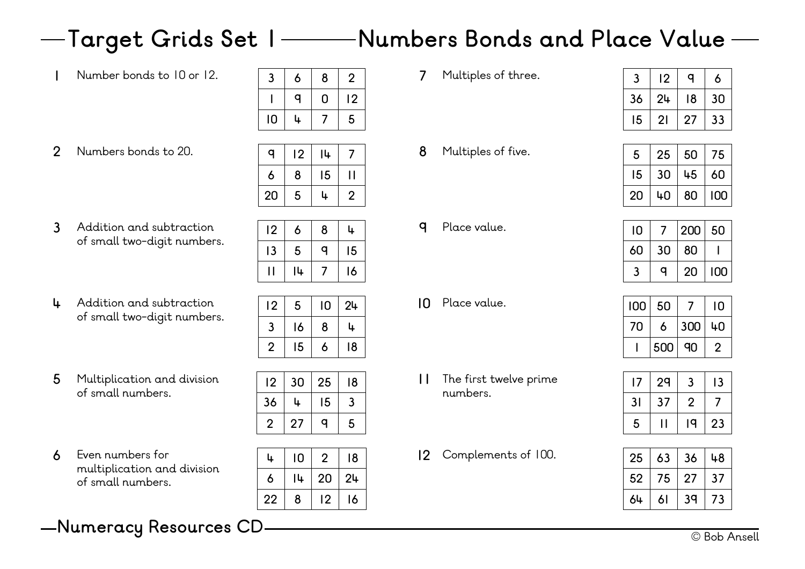## **Target Grids Set 1 Numbers Bonds and Place Value**

| Number bonds to 10 or 12. | 2 | Ω | 2              |  |
|---------------------------|---|---|----------------|--|
|                           |   |   | $\overline{2}$ |  |
|                           |   |   |                |  |
|                           |   |   |                |  |

**Numbers bonds to 20.** 

| 10 | Ŀ  |    | 5 |
|----|----|----|---|
|    |    |    |   |
| o  | 12 | 14 |   |
| 6  | 8  | 15 |   |
| 20 | 5  |    | 2 |

Addition and subtraction **9** of small two-digit numbers.

| 12 | 6  | 8       | u. |
|----|----|---------|----|
| 13 | 5  | $\circ$ | 15 |
|    | l4 |         | 16 |

Addition and subtraction **10** of small two-digit numbers.

| 12           | 5  | 10 | 24 |
|--------------|----|----|----|
| 3            | 16 | 8  | 4  |
| $\mathbf{z}$ | 15 | 6  | 18 |

Multiplication and division **11** of small numbers.

| ' 4 | JU | ▵◡ | ּטו |
|-----|----|----|-----|
| 36  | 4  | 15 | 3   |
| 2   | 27 | a  | 5   |
|     |    |    |     |
|     |    |    | ه ۱ |

**30 25 18**

Even numbers for **12** multiplication and division of small numbers.

| 4  | 10  | 2  | 18 |
|----|-----|----|----|
| 6  | l 4 | 20 | 24 |
| 22 | 8   | 12 | 16 |

© Bob Ansell **Numeracy Resources CD**

**Multiples of three.** 

| 3  | 12               | $\sigma$ | 6  |
|----|------------------|----------|----|
| 36 | 24               | 18       | 30 |
| 15 | $\overline{2}$ l | 27       | 33 |

**Multiples of five.** 

| 5  | 25 | 50 | 75  |
|----|----|----|-----|
| 15 | 30 | 45 | 60  |
| 20 | 40 | 80 | 100 |

| 10 |    | 200 | 50  |
|----|----|-----|-----|
| 60 | 30 | 80  |     |
|    | a  | 20  | 100 |

| 100 | 50  |     | 10 |
|-----|-----|-----|----|
| 70  | 6   | 300 | 40 |
|     | 500 | 90  | 2  |

| 7  | 29 | 3 | 13 |
|----|----|---|----|
| 31 | 37 | 2 |    |
| 5  |    | a | 23 |

| 25 | 63 | 36             | 48 |
|----|----|----------------|----|
| 52 | 75 | 27             | 37 |
| 64 | 61 | 3 <sub>q</sub> | 73 |

- Place value. **10 7 200 50**
- Place value.

- The first twelve prime numbers.
- Complements of 100.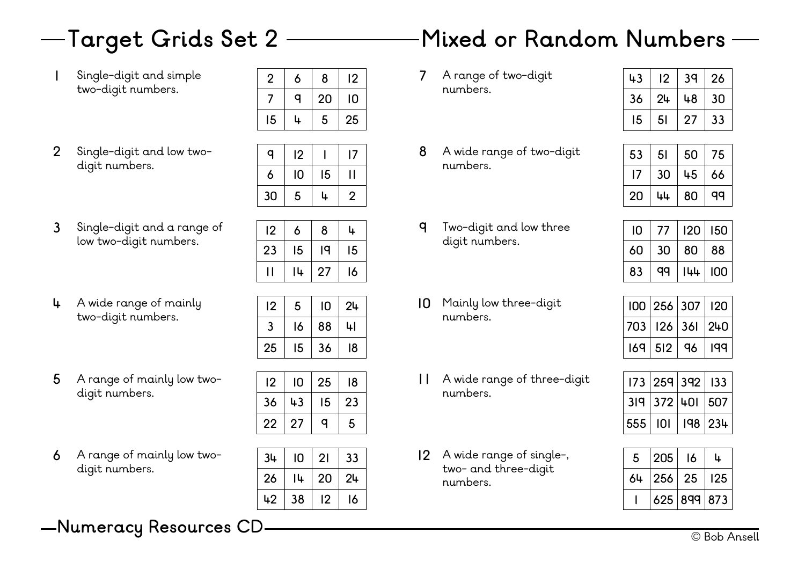Single-digit and simple **7** two-digit numbers.

| $\overline{2}$ | 6       | 8  | 12 |
|----------------|---------|----|----|
|                | $\circ$ | 20 | 10 |
| 15             |         | 5  | 25 |

Single-digit and low twodigit numbers. 

| a  | 12 |    | 17 |  |
|----|----|----|----|--|
| 6  | 10 | 15 |    |  |
| 30 | 5  | ۱. | 2  |  |

Single-digit and a range of **9** low two-digit numbers.

| 12 | 6  | 8  | 4  |
|----|----|----|----|
| 23 | 15 | ١q | 15 |
|    | 14 | 27 | 16 |

A wide range of mainly **10** two-digit numbers.

| 12 | 5  | 10 | 24 |
|----|----|----|----|
| 3  | 16 | 88 | 4l |
| 25 | 15 | 36 | 18 |

A range of mainly low two- **11** digit numbers.

| 12 | 10 | 25 | 18 |  |
|----|----|----|----|--|
| 36 | 43 | 15 | 23 |  |
| 22 | 27 | α  | 5  |  |

A range of mainly low two- **12** digit numbers.

| 34 | 10 | 21 | 33 |
|----|----|----|----|
| 26 | 14 | 20 | 24 |
| 42 | 38 | 12 | 16 |

## **Target Grids Set 2 Mixed or Random Numbers**

7 A range of two-digit numbers.

| 43 | 12 | 3 <sub>q</sub> | 26 |
|----|----|----------------|----|
| 36 | 24 | 48             | 30 |
| 15 | 51 | 27             | 33 |

A wide range of two-digit numbers.

| 53 | 5 <sub>1</sub> | 50 | 75 |
|----|----------------|----|----|
| 17 | 30             | 45 | 66 |
| 20 | 44             | 80 | qq |

- Two-digit and low three digit numbers.
- 10 Mainly low three-digit numbers.
- A wide range of three-digit numbers.
- A wide range of single-, two- and three-digit numbers.

| 10 | $\sqrt{ }$ | 120 | 150 |
|----|------------|-----|-----|
| 60 | 30         | 80  | 88  |
| 83 | aa         | 144 | 100 |

|  |             | 100   256   307       | 120 |
|--|-------------|-----------------------|-----|
|  |             | 703   126   361   240 |     |
|  | $169$ $512$ | ୍ୟୁ                   | 199 |

|           | 173   259   392   133 |        |
|-----------|-----------------------|--------|
|           | 319 372 401 507       |        |
| 555   101 |                       | 98 234 |

| 5  | 205    | 16          |     |
|----|--------|-------------|-----|
| 64 | 256 25 |             | 125 |
|    |        | 625 899 873 |     |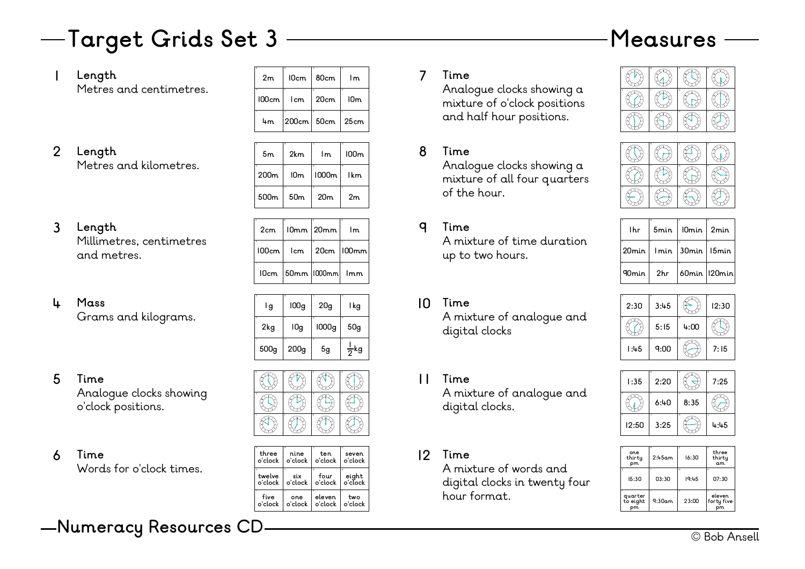## — Target Grids Set 3 —————————————— Measures

## **Length**

| Length                  | 2m    | 10cm       | 80cm | l m             |  |
|-------------------------|-------|------------|------|-----------------|--|
| Metres and centimetres. | 100cm | l cm       | 20cm | 10 <sub>m</sub> |  |
|                         | 4m    | 200cm 50cm |      | 25cm            |  |

#### **Length** Metres and kilometres. 2 Length **8 8**

| 5 <sub>m</sub>        | 2km             | c<br>1m         | 100m     |
|-----------------------|-----------------|-----------------|----------|
| ×<br>200 <sub>m</sub> | 10m             | Ġ<br>1000m      | M<br>1km |
| 500 <sub>m</sub>      | 50 <sub>m</sub> | 20 <sub>m</sub> | 2m       |

#### **Length** Millimetres, centimetres and metres. **3** Length  $\left| \begin{array}{c} 2 \text{cm} \end{array} \right| 10 \text{mm} \left| \begin{array}{c} 20 \text{mm} \end{array} \right| 1 \text{m}$

| 2cm   |     | $10mm$   20 $mm$             | Im.          |
|-------|-----|------------------------------|--------------|
| 100cm | lcm |                              | 20cm   100mm |
|       |     | $10cm$   50mm   1000mm   1mm |              |

#### **Mass** Grams and kilograms. **4 10**

| x<br>۱g          | 100 <sub>g</sub> | 20 <sub>g</sub> | ъ<br>l kg             |
|------------------|------------------|-----------------|-----------------------|
| к<br>2kg         | l0g              | 1000g           | $\overline{u}$<br>50g |
| 500 <sub>g</sub> | 200 <sub>g</sub> | 5g              | $\frac{1}{2}$ kg      |

**Time** Analogue clocks showing o'clock positions. **5 11**



| 6 | Time                     | three<br>∣o'clock   o'clock   o'clock   o'clock | nine | ten              | seven |  |
|---|--------------------------|-------------------------------------------------|------|------------------|-------|--|
|   | Words for o'clock times. | ا مرامس <del>ا</del>                            | .civ | $f_{\text{OUP}}$ | tdnie |  |

| three             | nine           | ten             | seven                 |
|-------------------|----------------|-----------------|-----------------------|
| o'clock           | o'clock.       | o'clock         | o'clock               |
| twelve<br>o'clock | six<br>o'clock | four<br>o'clock | M<br>eiaht<br>o'clock |
| five              | one            | eleven          | two                   |
| o'clock           | o'clock        | o'clock         | o'clock               |

## **Time**

Analogue clocks showing a mixture of o'clock positions and half hour positions.

## **Time**

Analogue clocks showing a mixture of all four quarters of the hour.

## **Time**

A mixture of time duration up to two hours.

- **Time** A mixture of analogue and digital clocks
- **Time**

A mixture of analogue and digital clocks.

## **Time**

A mixture of words and digital clocks in twenty four hour format.





| l h.r   | 5min | 10min   2min |                                    |
|---------|------|--------------|------------------------------------|
|         |      |              | $20$ min   Imin   $30$ min   I5min |
| 90min I | 2hr  |              | <b>60min 120min</b>                |





| one<br>thirty<br>pm        | 2:45am | 16:30       | three<br>thirty<br>am |
|----------------------------|--------|-------------|-----------------------|
| 15:30                      | 03:30  | c.<br>19:45 | u<br>07:30            |
| quarter<br>to eight<br>pm. | 9:30am | r<br>23:00  | eleven<br>forty five  |